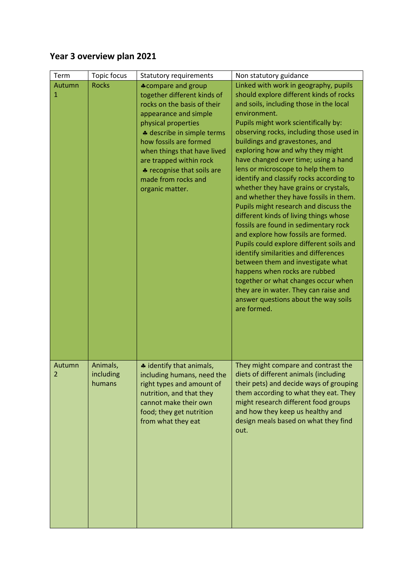## **Year 3 overview plan 2021**

| Term        | Topic focus                     | <b>Statutory requirements</b>                                                                                                                                                                                                                                                                                                     | Non statutory guidance                                                                                                                                                                                                                                                                                                                                                                                                                                                                                                                                                                                                                                                                                                                                                                                                                                                                                                                                                                  |
|-------------|---------------------------------|-----------------------------------------------------------------------------------------------------------------------------------------------------------------------------------------------------------------------------------------------------------------------------------------------------------------------------------|-----------------------------------------------------------------------------------------------------------------------------------------------------------------------------------------------------------------------------------------------------------------------------------------------------------------------------------------------------------------------------------------------------------------------------------------------------------------------------------------------------------------------------------------------------------------------------------------------------------------------------------------------------------------------------------------------------------------------------------------------------------------------------------------------------------------------------------------------------------------------------------------------------------------------------------------------------------------------------------------|
| Autumn<br>1 | <b>Rocks</b>                    | <b>*compare and group</b><br>together different kinds of<br>rocks on the basis of their<br>appearance and simple<br>physical properties<br>+ describe in simple terms<br>how fossils are formed<br>when things that have lived<br>are trapped within rock<br>* recognise that soils are<br>made from rocks and<br>organic matter. | Linked with work in geography, pupils<br>should explore different kinds of rocks<br>and soils, including those in the local<br>environment.<br>Pupils might work scientifically by:<br>observing rocks, including those used in<br>buildings and gravestones, and<br>exploring how and why they might<br>have changed over time; using a hand<br>lens or microscope to help them to<br>identify and classify rocks according to<br>whether they have grains or crystals,<br>and whether they have fossils in them.<br>Pupils might research and discuss the<br>different kinds of living things whose<br>fossils are found in sedimentary rock<br>and explore how fossils are formed.<br>Pupils could explore different soils and<br>identify similarities and differences<br>between them and investigate what<br>happens when rocks are rubbed<br>together or what changes occur when<br>they are in water. They can raise and<br>answer questions about the way soils<br>are formed. |
| Autumn<br>2 | Animals,<br>including<br>humans | * identify that animals,<br>including humans, need the<br>right types and amount of<br>nutrition, and that they<br>cannot make their own<br>food; they get nutrition<br>from what they eat                                                                                                                                        | They might compare and contrast the<br>diets of different animals (including<br>their pets) and decide ways of grouping<br>them according to what they eat. They<br>might research different food groups<br>and how they keep us healthy and<br>design meals based on what they find<br>out.                                                                                                                                                                                                                                                                                                                                                                                                                                                                                                                                                                                                                                                                                            |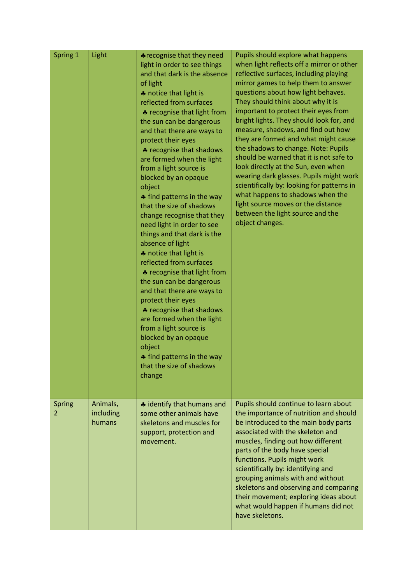| Spring 1    | Light                           | <b>*</b> recognise that they need<br>light in order to see things<br>and that dark is the absence<br>of light<br>* notice that light is<br>reflected from surfaces<br>♣ recognise that light from<br>the sun can be dangerous<br>and that there are ways to<br>protect their eyes<br>* recognise that shadows<br>are formed when the light<br>from a light source is<br>blocked by an opaque<br>object<br>♣ find patterns in the way<br>that the size of shadows<br>change recognise that they<br>need light in order to see<br>things and that dark is the<br>absence of light<br>* notice that light is<br>reflected from surfaces<br>* recognise that light from<br>the sun can be dangerous<br>and that there are ways to<br>protect their eyes<br>* recognise that shadows<br>are formed when the light<br>from a light source is<br>blocked by an opaque<br>object<br>♣ find patterns in the way<br>that the size of shadows<br>change | Pupils should explore what happens<br>when light reflects off a mirror or other<br>reflective surfaces, including playing<br>mirror games to help them to answer<br>questions about how light behaves.<br>They should think about why it is<br>important to protect their eyes from<br>bright lights. They should look for, and<br>measure, shadows, and find out how<br>they are formed and what might cause<br>the shadows to change. Note: Pupils<br>should be warned that it is not safe to<br>look directly at the Sun, even when<br>wearing dark glasses. Pupils might work<br>scientifically by: looking for patterns in<br>what happens to shadows when the<br>light source moves or the distance<br>between the light source and the<br>object changes. |
|-------------|---------------------------------|----------------------------------------------------------------------------------------------------------------------------------------------------------------------------------------------------------------------------------------------------------------------------------------------------------------------------------------------------------------------------------------------------------------------------------------------------------------------------------------------------------------------------------------------------------------------------------------------------------------------------------------------------------------------------------------------------------------------------------------------------------------------------------------------------------------------------------------------------------------------------------------------------------------------------------------------|------------------------------------------------------------------------------------------------------------------------------------------------------------------------------------------------------------------------------------------------------------------------------------------------------------------------------------------------------------------------------------------------------------------------------------------------------------------------------------------------------------------------------------------------------------------------------------------------------------------------------------------------------------------------------------------------------------------------------------------------------------------|
| Spring<br>2 | Animals,<br>including<br>humans | # identify that humans and<br>some other animals have<br>skeletons and muscles for<br>support, protection and<br>movement.                                                                                                                                                                                                                                                                                                                                                                                                                                                                                                                                                                                                                                                                                                                                                                                                                   | Pupils should continue to learn about<br>the importance of nutrition and should<br>be introduced to the main body parts<br>associated with the skeleton and<br>muscles, finding out how different<br>parts of the body have special<br>functions. Pupils might work<br>scientifically by: identifying and<br>grouping animals with and without<br>skeletons and observing and comparing<br>their movement; exploring ideas about<br>what would happen if humans did not<br>have skeletons.                                                                                                                                                                                                                                                                       |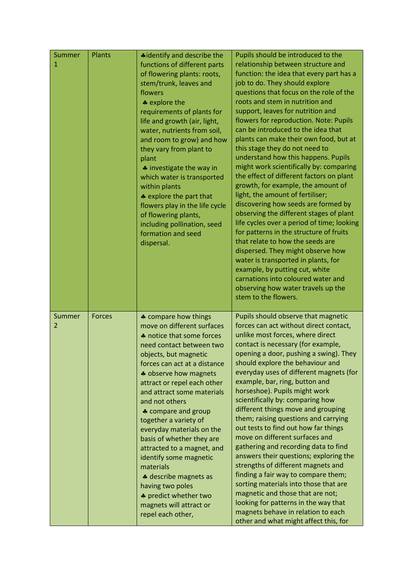| Summer<br>1 | Plants        | *identify and describe the<br>functions of different parts<br>of flowering plants: roots,<br>stem/trunk, leaves and<br>flowers<br>* explore the<br>requirements of plants for<br>life and growth (air, light,<br>water, nutrients from soil,<br>and room to grow) and how<br>they vary from plant to<br>plant<br><b>↓</b> investigate the way in<br>which water is transported<br>within plants<br>* explore the part that<br>flowers play in the life cycle<br>of flowering plants,<br>including pollination, seed<br>formation and seed<br>dispersal.                           | Pupils should be introduced to the<br>relationship between structure and<br>function: the idea that every part has a<br>job to do. They should explore<br>questions that focus on the role of the<br>roots and stem in nutrition and<br>support, leaves for nutrition and<br>flowers for reproduction. Note: Pupils<br>can be introduced to the idea that<br>plants can make their own food, but at<br>this stage they do not need to<br>understand how this happens. Pupils<br>might work scientifically by: comparing<br>the effect of different factors on plant<br>growth, for example, the amount of<br>light, the amount of fertiliser;<br>discovering how seeds are formed by<br>observing the different stages of plant<br>life cycles over a period of time; looking<br>for patterns in the structure of fruits<br>that relate to how the seeds are<br>dispersed. They might observe how<br>water is transported in plants, for<br>example, by putting cut, white<br>carnations into coloured water and<br>observing how water travels up the<br>stem to the flowers. |
|-------------|---------------|-----------------------------------------------------------------------------------------------------------------------------------------------------------------------------------------------------------------------------------------------------------------------------------------------------------------------------------------------------------------------------------------------------------------------------------------------------------------------------------------------------------------------------------------------------------------------------------|--------------------------------------------------------------------------------------------------------------------------------------------------------------------------------------------------------------------------------------------------------------------------------------------------------------------------------------------------------------------------------------------------------------------------------------------------------------------------------------------------------------------------------------------------------------------------------------------------------------------------------------------------------------------------------------------------------------------------------------------------------------------------------------------------------------------------------------------------------------------------------------------------------------------------------------------------------------------------------------------------------------------------------------------------------------------------------|
| Summer<br>2 | <b>Forces</b> | * compare how things<br>move on different surfaces<br>* notice that some forces<br>need contact between two<br>objects, but magnetic<br>forces can act at a distance<br>* observe how magnets<br>attract or repel each other<br>and attract some materials<br>and not others<br>♣ compare and group<br>together a variety of<br>everyday materials on the<br>basis of whether they are<br>attracted to a magnet, and<br>identify some magnetic<br>materials<br>* describe magnets as<br>having two poles<br>* predict whether two<br>magnets will attract or<br>repel each other, | Pupils should observe that magnetic<br>forces can act without direct contact,<br>unlike most forces, where direct<br>contact is necessary (for example,<br>opening a door, pushing a swing). They<br>should explore the behaviour and<br>everyday uses of different magnets (for<br>example, bar, ring, button and<br>horseshoe). Pupils might work<br>scientifically by: comparing how<br>different things move and grouping<br>them; raising questions and carrying<br>out tests to find out how far things<br>move on different surfaces and<br>gathering and recording data to find<br>answers their questions; exploring the<br>strengths of different magnets and<br>finding a fair way to compare them;<br>sorting materials into those that are<br>magnetic and those that are not;<br>looking for patterns in the way that<br>magnets behave in relation to each<br>other and what might affect this, for                                                                                                                                                             |